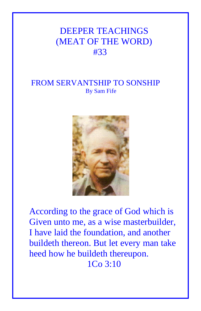# DEEPER TEACHINGS (MEAT OF THE WORD) #33

## FROM SERVANTSHIP TO SONSHIP By Sam Fife



According to the grace of God which is Given unto me, as a wise masterbuilder, I have laid the foundation, and another buildeth thereon. But let every man take heed how he buildeth thereupon. 1Co 3:10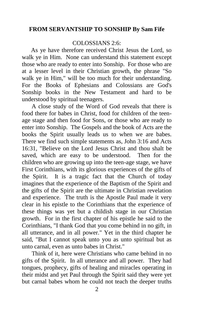## **FROM SERVANTSHIP TO SONSHIP By Sam Fife**

## COLOSSIANS 2:6:

 As ye have therefore received Christ Jesus the Lord, so walk ye in Him. None can understand this statement except those who are ready to enter into Sonship. For those who are at a lesser level in their Christian growth, the phrase "So walk ye in Him," will be too much for their understanding. For the Books of Ephesians and Colossians are God's Sonship books in the New Testament and hard to be understood by spiritual teenagers.

 A close study of the Word of God reveals that there is food there for babes in Christ, food for children of the teenage stage and then food for Sons, or those who are ready to enter into Sonship. The Gospels and the book of Acts are the books the Spirit usually leads us to when we are babes. There we find such simple statements as, John 3:16 and Acts 16:31, "Believe on the Lord Jesus Christ and thou shalt be saved, which are easy to be understood. Then for the children who are growing up into the teen-age stage, we have First Corinthians, with its glorious experiences of the gifts of the Spirit. It is a tragic fact that the Church of today imagines that the experience of the Baptism of the Spirit and the gifts of the Spirit are the ultimate in Christian revelation and experience. The truth is the Apostle Paul made it very clear in his epistle to the Corinthians that the experience of these things was yet but a childish stage in our Christian growth. For in the first chapter of his epistle he said to the Corinthians, "I thank God that you come behind in no gift, in all utterance, and in all power." Yet in the third chapter he said, "But I cannot speak unto you as unto spiritual but as unto carnal, even as unto babes in Christ."

 Think of it, here were Christians who came behind in no gifts of the Spirit. In all utterance and all power. They had tongues, prophecy, gifts of healing and miracles operating in their midst and yet Paul through the Spirit said they were yet but carnal babes whom he could not teach the deeper truths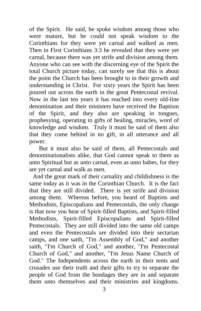of the Spirit. He said, he spoke wisdom among those who were mature, but he could not speak wisdom to the Corinthians for they were yet carnal and walked as men. Then in First Corinthians 3:3 he revealed that they were yet carnal, because there was yet strife and division among them. Anyone who can see with the discerning eye of the Spirit the total Church picture today, can surely see that this is about the point the Church has been brought to in their growth and understanding in Christ. For sixty years the Spirit has been poured out across the earth in the great Pentecostal revival. Now in the last ten years it has reached into every old-line denomination and their ministers have received the Baptism of the Spirit, and they also are speaking in tongues, prophesying, operating in gifts of healing, miracles, word of knowledge and wisdom. Truly it must be said of them also that they come behind in no gift, in all utterance and all power.

 But it must also be said of them, all Pentecostals and denominationalists alike, that God cannot speak to them as unto Spiritual but as unto carnal, even as unto babes, for they are yet carnal and walk as men.

And the great mark of their carnality and childishness is the same today as it was in the Corinthian Church. It is the fact that they are still divided. There is yet strife and division among them. Whereas before, you heard of Baptists and Methodists, Episcopalians and Pentecostals, the only change is that now you hear of Spirit-filled Baptists, and Spirit-filled Methodists, Spirit-filled Episcopalians and Spirit-filled Pentecostals. They are still divided into the same old camps and even the Pentecostals are divided into their sectarian camps, and one saith, "I'm Assembly of God," and another saith, "I'm Church of God," and another, "I'm Pentecostal Church of God," and another, "I'm Jesus Name Church of God." The Independents across the earth in their tents and crusades use their truth and their gifts to try to separate the people of God from the bondages they are in and separate them unto themselves and their ministries and kingdoms.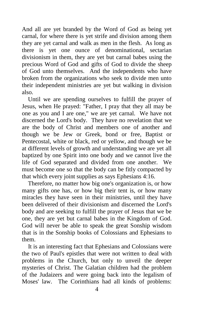And all are yet branded by the Word of God as being yet carnal, for where there is yet strife and division among them they are yet carnal and walk as men in the flesh. As long as there is yet one ounce of denominational, sectarian divisionism in them, they are yet but carnal babes using the precious Word of God and gifts of God to divide the sheep of God unto themselves. And the independents who have broken from the organizations who seek to divide men unto their independent ministries are yet but walking in division also.

 Until we are spending ourselves to fulfill the prayer of Jesus, when He prayed: "Father, I pray that they all may be one as you and I are one," we are yet carnal. We have not discerned the Lord's body. They have no revelation that we are the body of Christ and members one of another and though we be Jew or Greek, bond or free, Baptist or Pentecostal, white or black, red or yellow, and though we be at different levels of growth and understanding we are yet all baptized by one Spirit into one body and we cannot live the life of God separated and divided from one another. We must become one so that the body can be fitly compacted by that which every joint supplies as says Ephesians 4:16.

 Therefore, no matter how big one's organization is, or how many gifts one has, or how big their tent is, or how many miracles they have seen in their ministries, until they have been delivered of their divisionism and discerned the Lord's body and are seeking to fulfill the prayer of Jesus that we be one, they are yet but carnal babes in the Kingdom of God. God will never be able to speak the great Sonship wisdom that is in the Sonship books of Colossians and Ephesians to them.

 It is an interesting fact that Ephesians and Colossians were the two of Paul's epistles that were not written to deal with problems in the Church, but only to unveil the deeper mysteries of Christ. The Galatian children had the problem of the Judaizers and were going back into the legalism of Moses' law. The Corinthians had all kinds of problems: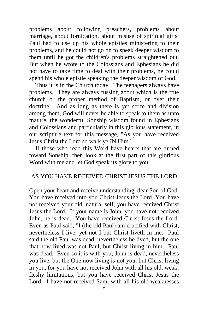problems about following preachers, problems about marriage, about fornication, about misuse of spiritual gifts. Paul had to use up his whole epistles ministering to their problems, and he could not go on to speak deeper wisdom to them until he got the children's problems straightened out. But when he wrote to the Colossians and Ephesians he did not have to take time to deal with their problems, he could spend his whole epistle speaking the deeper wisdom of God.

 Thus it is in the Church today. The teenagers always have problems. They are always fussing about which is the true church or the proper method of Baptism, or over their doctrine. And as long as there is yet strife and division among them, God will never be able to speak to them as unto mature, the wonderful Sonship wisdom found in Ephesians and Colossians and particularly in this glorious statement, in our scripture text for this message, "As you have received Jesus Christ the Lord so walk ye IN Him."

 If those who read this Word have hearts that are turned toward Sonship, then look at the first part of this glorious Word with me and let God speak its glory to you.

## AS YOU HAVE RECEIVED CHRIST JESUS THE LORD

Open your heart and receive understanding, dear Son of God. You have received into you Christ Jesus the Lord. You have not received your old, natural self, you have received Christ Jesus the Lord. If your name is John, you have not received John, he is dead. You have received Christ Jesus the Lord. Even as Paul said, "I (the old Paul) am crucified with Christ, nevertheless I live, yet not I but Christ liveth in me." Paul said the old Paul was dead, nevertheless he lived, but the one that now lived was not Paul, but Christ living in him. Paul was dead. Even so it is with you, John is dead, nevertheless you live, but the One now living is not you, but Christ living in you, for you have not received John with all his old, weak, fleshy limitations, but you have received Christ Jesus the Lord. I have not received Sam, with all his old weaknesses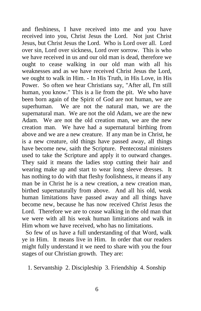and fleshiness, I have received into me and you have received into you, Christ Jesus the Lord. Not just Christ Jesus, but Christ Jesus the Lord. Who is Lord over all. Lord over sin, Lord over sickness, Lord over sorrow. This is who we have received in us and our old man is dead, therefore we ought to cease walking in our old man with all his weaknesses and as we have received Christ Jesus the Lord, we ought to walk in Him. - In His Truth, in His Love, in His Power. So often we hear Christians say, "After all, I'm still human, you know." This is a lie from the pit. We who have been born again of the Spirit of God are not human, we are superhuman. We are not the natural man, we are the supernatural man. We are not the old Adam, we are the new Adam. We are not the old creation man, we are the new creation man. We have had a supernatural birthing from above and we are a new creature. If any man be in Christ, he is a new creature, old things have passed away, all things have become new, saith the Scripture. Pentecostal ministers used to take the Scripture and apply it to outward changes. They said it means the ladies stop cutting their hair and wearing make up and start to wear long sleeve dresses. It has nothing to do with that fleshy foolishness, it means if any man be in Christ he is a new creation, a new creation man, birthed supernaturally from above. And all his old, weak human limitations have passed away and all things have become new, because he has now received Christ Jesus the Lord. Therefore we are to cease walking in the old man that we were with all his weak human limitations and walk in Him whom we have received, who has no limitations.

So few of us have a full understanding of that Word, walk ye in Him. It means live in Him. In order that our readers might fully understand it we need to share with you the four stages of our Christian growth. They are:

1. Servantship 2. Discipleship 3. Friendship 4. Sonship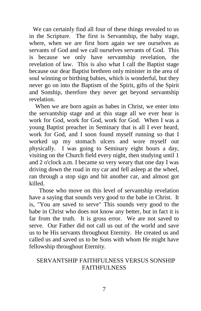We can certainly find all four of these things revealed to us in the Scripture. The first is Servantship, the baby stage, where, when we are first born again we see ourselves as servants of God and we call ourselves servants of God. This is because we only have servantship revelation, the revelation of law. This is also what I call the Baptist stage because our dear Baptist brethren only minister in the area of soul winning or birthing babies, which is wonderful, but they never go on into the Baptism of the Spirit, gifts of the Spirit and Sonship, therefore they never get beyond servantship revelation.

 When we are born again as babes in Christ, we enter into the servantship stage and at this stage all we ever hear is work for God, work for God, work for God. When I was a young Baptist preacher in Seminary that is all I ever heard, work for God, and I soon found myself running so that I worked up my stomach ulcers and wore myself out physically. I was going to Seminary eight hours a day, visiting on the Church field every night, then studying until 1 and 2 o'clock a.m. I became so very weary that one day I was driving down the road in my car and fell asleep at the wheel, ran through a stop sign and hit another car, and almost got killed.

 Those who move on this level of servantship revelation have a saying that sounds very good to the babe in Christ. It is, "You are saved to serve" This sounds very good to the babe in Christ who does not know any better, but in fact it is far from the truth. It is gross error. We are not saved to serve. Our Father did not call us out of the world and save us to be His servants throughout Eternity. He created us and called us and saved us to be Sons with whom He might have fellowship throughout Eternity.

## SERVANTSHIP FAITHFULNESS VERSUS SONSHIP FAITHFULNESS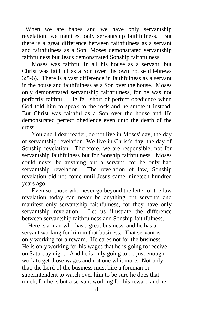When we are babes and we have only servantship revelation, we manifest only servantship faithfulness. But there is a great difference between faithfulness as a servant and faithfulness as a Son, Moses demonstrated servantship faithfulness but Jesus demonstrated Sonship faithfulness.

 Moses was faithful in all his house as a servant, but Christ was faithful as a Son over His own house (Hebrews 3:5-6). There is a vast difference in faithfulness as a servant in the house and faithfulness as a Son over the house. Moses only demonstrated servantship faithfulness, for he was not perfectly faithful. He fell short of perfect obedience when God told him to speak to the rock and he smote it instead. But Christ was faithful as a Son over the house and He demonstrated perfect obedience even unto the death of the cross.

 You and I dear reader, do not live in Moses' day, the day of servantship revelation. We live in Christ's day, the day of Sonship revelation. Therefore, we are responsible, not for servantship faithfulness but for Sonship faithfulness. Moses could never be anything but a servant, for he only had servantship revelation. The revelation of law, Sonship revelation did not come until Jesus came, nineteen hundred years ago.

 Even so, those who never go beyond the letter of the law revelation today can never be anything but servants and manifest only servantship faithfulness, for they have only servantship revelation. Let us illustrate the difference between servantship faithfulness and Sonship faithfulness.

 Here is a man who has a great business, and he has a servant working for him in that business. That servant is only working for a reward. He cares not for the business. He is only working for his wages that he is going to receive on Saturday night. And he is only going to do just enough work to get those wages and not one whit more. Not only that, the Lord of the business must hire a foreman or superintendent to watch over him to be sure he does that much, for he is but a servant working for his reward and he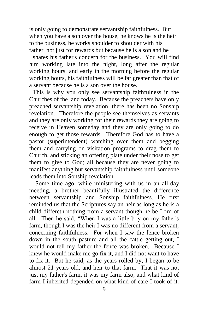is only going to demonstrate servantship faithfulness. But when you have a son over the house, he knows he is the heir to the business, he works shoulder to shoulder with his father, not just for rewards but because he is a son and he

shares his father's concern for the business. You will find him working late into the night, long after the regular working hours, and early in the morning before the regular working hours, his faithfulness will be far greater than that of a servant because he is a son over the house.

This is why you only see servantship faithfulness in the Churches of the land today. Because the preachers have only preached servantship revelation, there has been no Sonship revelation. Therefore the people see themselves as servants and they are only working for their rewards they are going to receive in Heaven someday and they are only going to do enough to get those rewards. Therefore God has to have a pastor (superintendent) watching over them and begging them and carrying on visitation programs to drag them to Church, and sticking an offering plate under their nose to get them to give to God; all because they are never going to manifest anything but servantship faithfulness until someone leads them into Sonship revelation.

 Some time ago, while ministering with us in an all-day meeting, a brother beautifully illustrated the difference between servantship and Sonship faithfulness. He first reminded us that the Scriptures say an heir as long as he is a child differeth nothing from a servant though he be Lord of all. Then he said, "When I was a little boy on my father's farm, though I was the heir I was no different from a servant, concerning faithfulness. For when I saw the fence broken down in the south pasture and all the cattle getting out, I would not tell my father the fence was broken. Because I knew he would make me go fix it, and I did not want to have to fix it. But he said, as the years rolled by, I began to be almost 21 years old, and heir to that farm. That it was not just my father's farm, it was my farm also, and what kind of farm I inherited depended on what kind of care I took of it.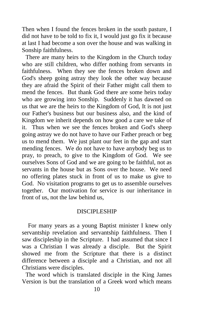Then when I found the fences broken in the south pasture, I did not have to be told to fix it, I would just go fix it because at last I had become a son over the house and was walking in Sonship faithfulness.

There are many heirs to the Kingdom in the Church today who are still children, who differ nothing from servants in faithfulness. When they see the fences broken down and God's sheep going astray they look the other way because they are afraid the Spirit of their Father might call them to mend the fences. But thank God there are some heirs today who are growing into Sonship. Suddenly it has dawned on us that we are the heirs to the Kingdom of God, It is not just our Father's business but our business also, and the kind of Kingdom we inherit depends on how good a care we take of it. Thus when we see the fences broken and God's sheep going astray we do not have to have our Father preach or beg us to mend them. We just plant our feet in the gap and start mending fences. We do not have to have anybody beg us to pray, to preach, to give to the Kingdom of God. We see ourselves Sons of God and we are going to be faithful, not as servants in the house but as Sons over the house. We need no offering plates stuck in front of us to make us give to God. No visitation programs to get us to assemble ourselves together. Our motivation for service is our inheritance in front of us, not the law behind us,

#### DISCIPLESHIP

 For many years as a young Baptist minister I knew only servantship revelation and servantship faithfulness. Then I saw discipleship in the Scripture. I had assumed that since I was a Christian I was already a disciple. But the Spirit showed me from the Scripture that there is a distinct difference between a disciple and a Christian, and not all Christians were disciples.

The word which is translated disciple in the King James Version is but the translation of a Greek word which means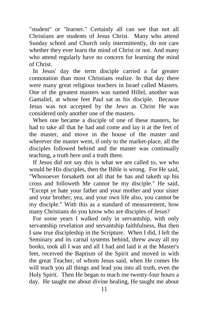"student" or "learner." Certainly all can see that not all Christians are students of Jesus Christ. Many who attend Sunday school and Church only intermittently, do not care whether they ever learn the mind of Christ or not. And many who attend regularly have no concern for learning the mind of Christ.

In Jesus' day the term disciple carried a far greater connotation than most Christians realize. In that day there were many great religious teachers in Israel called Masters. One of the greatest masters was named Hillel, another was Gamaliel, at whose feet Paul sat as his disciple. Because Jesus was not accepted by the Jews as Christ He was considered only another one of the masters.

When one became a disciple of one of these masters, he had to take all that he had and come and lay it at the feet of the master, and move in the house of the master and wherever the master went, if only to the market-place, all the disciples followed behind and the master was continually teaching, a truth here and a truth there.

If Jesus did not say this is what we are called to, we who would be His disciples, then the Bible is wrong. For He said, "Whosoever forsaketh not all that he has and taketh up his cross and followeth Me cannot be my disciple." He said, "Except ye hate your father and your mother and your sister and your brother, yea, and your own life also, you cannot be my disciple." With this as a standard of measurement, how many Christians do you know who are disciples of Jesus?

For some years I walked only in servantship, with only servantship revelation and servantship faithfulness, But then I saw true discipleship in the Scripture. When I did, I left the Seminary and its carnal systems behind, threw away all my books, took all I was and all I had and laid it at the Master's feet, received the Baptism of the Spirit and moved in with the great Teacher, of whom Jesus said, when He comes He will teach you all things and lead you into all truth, even the Holy Spirit. Then He began to teach me twenty-four hours a day. He taught me about divine healing, He taught me about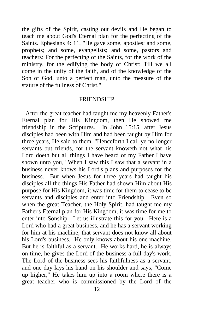the gifts of the Spirit, casting out devils and He began to teach me about God's Eternal plan for the perfecting of the Saints. Ephesians 4: 11, "He gave some, apostles; and some, prophets; and some, evangelists; and some, pastors and teachers: For the perfecting of the Saints, for the work of the ministry, for the edifying the body of Christ: Till we all come in the unity of the faith, and of the knowledge of the Son of God, unto a perfect man, unto the measure of the stature of the fullness of Christ."

#### FRIENDSHIP

After the great teacher had taught me my heavenly Father's Eternal plan for His Kingdom, then He showed me friendship in the Scriptures. In John 15:15, after Jesus disciples had been with Him and had been taught by Him for three years, He said to them, "Henceforth I call ye no longer servants but friends, for the servant knoweth not what his Lord doeth but all things I have heard of my Father I have shown unto you," When I saw this I saw that a servant in a business never knows his Lord's plans and purposes for the business. But when Jesus for three years had taught his disciples all the things His Father had shown Him about His purpose for His Kingdom, it was time for them to cease to be servants and disciples and enter into Friendship. Even so when the great Teacher, the Holy Spirit, had taught me my Father's Eternal plan for His Kingdom, it was time for me to enter into Sonship. Let us illustrate this for you. Here is a Lord who had a great business, and he has a servant working for him at his machine; that servant does not know all about his Lord's business. He only knows about his one machine. But he is faithful as a servant. He works hard, he is always on time, he gives the Lord of the business a full day's work, The Lord of the business sees his faithfulness as a servant, and one day lays his hand on his shoulder and says, "Come up higher," He takes him up into a room where there is a great teacher who is commissioned by the Lord of the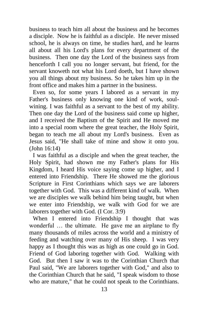business to teach him all about the business and he becomes a disciple. Now he is faithful as a disciple. He never missed school, he is always on time, he studies hard, and he learns all about all his Lord's plans for every department of the business. Then one day the Lord of the business says from henceforth I call you no longer servant, but friend, for the servant knoweth not what his Lord doeth, but I have shown you all things about my business. So he takes him up in the front office and makes him a partner in the business.

Even so, for some years I labored as a servant in my Father's business only knowing one kind of work, soulwining. I was faithful as a servant to the best of my ability. Then one day the Lord of the business said come up higher, and I received the Baptism of the Spirit and He moved me into a special room where the great teacher, the Holy Spirit, began to teach me all about my Lord's business. Even as Jesus said, "He shall take of mine and show it onto you. (John 16:14)

I was faithful as a disciple and when the great teacher, the Holy Spirit, had shown me my Father's plans for His Kingdom, I heard His voice saying come up higher, and I entered into Friendship. There He showed me the glorious Scripture in First Corinthians which says we are laborers together with God. This was a different kind of walk. When we are disciples we walk behind him being taught, but when we enter into Friendship, we walk with God for we are laborers together with God. (I Cor. 3:9)

When I entered into Friendship I thought that was wonderful … the ultimate. He gave me an airplane to fly many thousands of miles across the world and a ministry of feeding and watching over many of His sheep. I was very happy as I thought this was as high as one could go in God. Friend of God laboring together with God. Walking with God. But then I saw it was to the Corinthian Church that Paul said, "We are laborers together with God," and also to the Corinthian Church that he said, "I speak wisdom to those who are mature," that he could not speak to the Corinthians.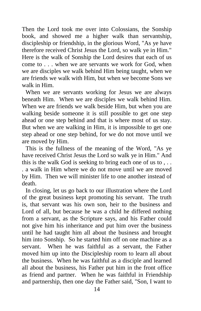Then the Lord took me over into Colossians, the Sonship book, and showed me a higher walk than servantship, discipleship or friendship, in the glorious Word, "As ye have therefore received Christ Jesus the Lord, so walk ye in Him." Here is the walk of Sonship the Lord desires that each of us come to . . . when we are servants we work for God, when we are disciples we walk behind Him being taught, when we are friends we walk with Him, but when we become Sons we walk in Him.

When we are servants working for Jesus we are always beneath Him. When we are disciples we walk behind Him. When we are friends we walk beside Him, but when you are walking beside someone it is still possible to get one step ahead or one step behind and that is where most of us stay. But when we are walking in Him, it is impossible to get one step ahead or one step behind, for we do not move until we are moved by Him.

This is the fullness of the meaning of the Word, "As ye have received Christ Jesus the Lord so walk ye in Him." And this is the walk God is seeking to bring each one of us to , . . . a walk in Him where we do not move until we are moved by Him. Then we will minister life to one another instead of death.

In closing, let us go back to our illustration where the Lord of the great business kept promoting his servant. The truth is, that servant was his own son, heir to the business and Lord of all, but because he was a child he differed nothing from a servant, as the Scripture says, and his Father could not give him his inheritance and put him over the business until he had taught him all about the business and brought him into Sonship. So he started him off on one machine as a servant. When he was faithful as a servant, the Father moved him up into the Discipleship room to learn all about the business. When he was faithful as a disciple and learned all about the business, his Father put him in the front office as friend and partner. When he was faithful in Friendship and partnership, then one day the Father said, "Son, I want to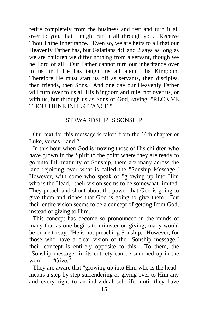retire completely from the business and rest and turn it all over to you, that I might run it all through you. Receive Thou Thine Inheritance." Even so, we are heirs to all that our Heavenly Father has, but Galatians 4:1 and 2 says as long as we are children we differ nothing from a servant, though we be Lord of all. Our Father cannot turn our inheritance over to us until He has taught us all about His Kingdom. Therefore He must start us off as servants, then disciples, then friends, then Sons. And one day our Heavenly Father will turn over to us all His Kingdom and rule, not over us, or with us, but through us as Sons of God, saying, "RECEIVE THOU THINE INHERITANCE."

## STEWARDSHIP IS SONSHIP

Our text for this message is taken from the 16th chapter or Luke, verses 1 and 2.

In this hour when God is moving those of His children who have grown in the Spirit to the point where they are ready to go unto full maturity of Sonship, there are many across the land rejoicing over what is called the "Sonship Message." However, with some who speak of "growing up into Him who is the Head," their vision seems to be somewhat limited. They preach and shout about the power that God is going to give them and riches that God is going to give them. But their entire vision seems to be a concept of getting from God, instead of giving to Him.

This concept has become so pronounced in the minds of many that as one begins to minister on giving, many would be prone to say, "He is not preaching Sonship," However, for those who have a clear vision of the "Sonship message," their concept is entirely opposite to this. To them, the "Sonship message" in its entirety can be summed up in the word . . . "Give."

They are aware that "growing up into Him who is the head" means a step by step surrendering or giving over to Him any and every right to an individual self-life, until they have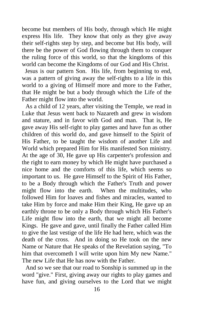become but members of His body, through which He might express His life. They know that only as they give away their self-rights step by step, and become but His body, will there be the power of God flowing through them to conquer the ruling force of this world, so that the kingdoms of this world can become the Kingdoms of our God and His Christ.

 Jesus is our pattern Son. His life, from beginning to end, was a pattern of giving away the self-rights to a life in this world to a giving of Himself more and more to the Father, that He might be but a body through which the Life of the Father might flow into the world.

As a child of 12 years, after visiting the Temple, we read in Luke that Jesus went back to Nazareth and grew in wisdom and stature, and in favor with God and man. That is, He gave away His self-right to play games and have fun as other children of this world do, and gave himself to the Spirit of His Father, to be taught the wisdom of another Life and World which prepared Him for His manifested Son ministry. At the age of 30, He gave up His carpenter's profession and the right to earn money by which He might have purchased a nice home and the comforts of this life, which seems so important to us. He gave Himself to the Spirit of His Father, to be a Body through which the Father's Truth and power might flow into the earth. When the multitudes, who followed Him for loaves and fishes and miracles, wanted to take Him by force and make Him their King, He gave up an earthly throne to be only a Body through which His Father's Life might flow into the earth, that we might all become Kings. He gave and gave, until finally the Father called Him to give the last vestige of the life He had here, which was the death of the cross. And in doing so He took on the new Name or Nature that He speaks of the Revelation saying, "To him that overcometh I will write upon him My new Name." The new Life that He has now with the Father.

And so we see that our road to Sonship is summed up in the word "give." First, giving away our rights to play games and have fun, and giving ourselves to the Lord that we might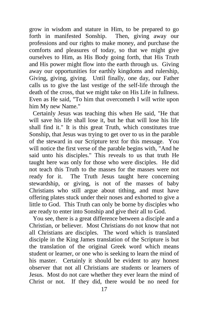grow in wisdom and stature in Him, to be prepared to go forth in manifested Sonship. Then, giving away our professions and our rights to make money, and purchase the comforts and pleasures of today, so that we might give ourselves to Him, as His Body going forth, that His Truth and His power might flow into the earth through us. Giving away our opportunities for earthly kingdoms and rulership, Giving, giving, giving. Until finally, one day, our Father calls us to give the last vestige of the self-life through the death of the cross, that we might take on His Life in fullness. Even as He said, "To him that overcometh I will write upon him My new Name."

Certainly Jesus was teaching this when He said, "He that will save his life shall lose it, but he that will lose his life shall find it." It is this great Truth, which constitutes true Sonship, that Jesus was trying to get over to us in the parable of the steward in our Scripture text for this message. You will notice the first verse of the parable begins with, "And he said unto his disciples." This reveals to us that truth He taught here was only for those who were disciples. He did not teach this Truth to the masses for the masses were not ready for it. The Truth Jesus taught here concerning stewardship, or giving, is not of the masses of baby Christians who still argue about tithing, and must have offering plates stuck under their noses and exhorted to give a little to God. This Truth can only be borne by disciples who are ready to enter into Sonship and give their all to God.

You see, there is a great difference between a disciple and a Christian, or believer. Most Christians do not know that not all Christians are disciples. The word which is translated disciple in the King James translation of the Scripture is but the translation of the original Greek word which means student or learner, or one who is seeking to learn the mind of his master. Certainly it should be evident to any honest observer that not all Christians are students or learners of Jesus. Most do not care whether they ever learn the mind of Christ or not. If they did, there would be no need for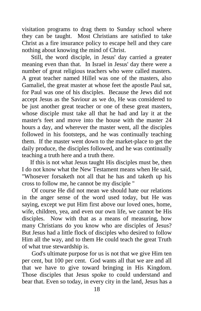visitation programs to drag them to Sunday school where they can be taught. Most Christians are satisfied to take Christ as a fire insurance policy to escape hell and they care nothing about knowing the mind of Christ.

 Still, the word disciple, in Jesus' day carried a greater meaning even than that. In Israel in Jesus' day there were a number of great religious teachers who were called masters. A great teacher named Hillel was one of the masters, also Gamaliel, the great master at whose feet the apostle Paul sat, for Paul was one of his disciples. Because the Jews did not accept Jesus as the Saviour as we do, He was considered to be just another great teacher or one of these great masters, whose disciple must take all that he had and lay it at the master's feet and move into the house with the master 24 hours a day, and wherever the master went, all the disciples followed in his footsteps, and he was continually teaching them. If the master went down to the market-place to get the daily produce, the disciples followed, and he was continually teaching a truth here and a truth there.

 If this is not what Jesus taught His disciples must be, then I do not know what the New Testament means when He said, "Whosever forsaketh not all that he has and taketh up his cross to follow me, he cannot be my disciple "

 Of course He did not mean we should hate our relations in the anger sense of the word used today, but He was saying, except we put Him first above our loved ones, home, wife, children, yea, and even our own life, we cannot be His disciples. Now with that as a means of measuring, how many Christians do you know who are disciples of Jesus? But Jesus had a little flock of disciples who desired to follow Him all the way, and to them He could teach the great Truth of what true stewardship is.

 God's ultimate purpose for us is not that we give Him ten per cent, but 100 per cent. God wants all that we are and all that we have to give toward bringing in His Kingdom. Those disciples that Jesus spoke to could understand and bear that. Even so today, in every city in the land, Jesus has a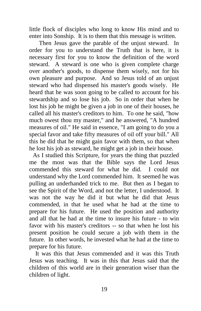little flock of disciples who long to know His mind and to enter into Sonship. It is to them that this message is written.

 Then Jesus gave the parable of the unjust steward. In order for you to understand the Truth that is here, it is necessary first for you to know the definition of the word steward. A steward is one who is given complete charge over another's goods, to dispense them wisely, not for his own pleasure and purpose. And so Jesus told of an unjust steward who had dispensed his master's goods wisely. He heard that he was soon going to be called to account for his stewardship and so lose his job. So in order that when he lost his job he might be given a job in one of their houses, he called all his master's creditors to him. To one he said, "how much owest thou my master," and he answered, "A hundred measures of oil." He said in essence, "I am going to do you a special favor and take fifty measures of oil off your bill." All this he did that he might gain favor with them, so that when he lost his job as steward, he might get a job in their house.

As I studied this Scripture, for years the thing that puzzled me the most was that the Bible says the Lord Jesus commended this steward for what he did. I could not understand why the Lord commended him. It seemed he was pulling an underhanded trick to me. But then as I began to see the Spirit of the Word, and not the letter, I understood. It was not the way he did it but what he did that Jesus commended, in that he used what he had at the time to prepare for his future. He used the position and authority and all that he had at the time to insure his future - to win favor with his master's creditors -- so that when he lost his present position he could secure a job with them in the future. In other words, he invested what he had at the time to prepare for his future.

 It was this that Jesus commended and it was this Truth Jesus was teaching. It was in this that Jesus said that the children of this world are in their generation wiser than the children of light.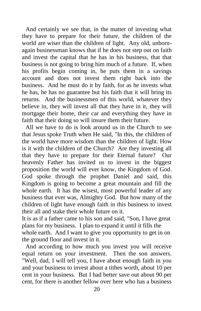And certainly we see that, in the matter of investing what they have to prepare for their future, the children of the world are wiser than the children of light. Any old, unbornagain businessman knows that if he does not step out on faith and invest the capital that he has in his business, that that business is not going to bring him much of a future. If, when his profits begin coming in, he puts them in a savings account and does not invest them right back into the business. And he must do it by faith, for as he invests what he has, he has no guarantee but his faith that it will bring its returns. And the businessmen of this world, whatever they believe in, they will invest all that they have in it, they will mortgage their home, their car and everything they have in faith that their doing so will insure them their future.

All we have to do is look around us in the Church to see that Jesus spoke Truth when He said, "In this, the children of the world have more wisdom than the children of light. How is it with the children of the Church? Are they investing all that they have to prepare for their Eternal future? Our heavenly Father has invited us to invest in the biggest proposition the world will ever know, the Kingdom of God. God spoke through the prophet Daniel and said, this Kingdom is going to become a great mountain and fill the whole earth. It has the wisest, most powerful leader of any business that ever was, Almighty God. But how many of the children of light have enough faith in this business to invest their all and stake their whole future on it.

It is as if a father came to his son and said, "Son, I have great plans for my business. I plan to expand it until it fills the whole earth. And I want to give you opportunity to get in on the ground floor and invest in it.

And according to how much you invest you will receive equal return on your investment. Then the son answers. "Well, dad, I will tell you, I have about enough faith in you and your business to invest about a tithes worth, about 10 per cent in your business. But I had better save out about 90 per cent, for there is another fellow over here who has a business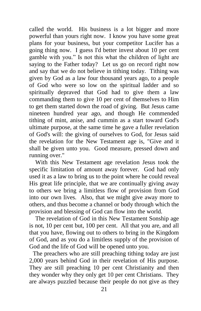called the world. His business is a lot bigger and more powerful than yours right now. I know you have some great plans for your business, but your competitor Lucifer has a going thing now. I guess I'd better invest about 10 per cent gamble with you." Is not this what the children of light are saying to the Father today? Let us go on record right now and say that we do not believe in tithing today. Tithing was given by God as a law four thousand years ago, to a people of God who were so low on the spiritual ladder and so spiritually depraved that God had to give them a law commanding them to give 10 per cent of themselves to Him to get them started down the road of giving. But Jesus came nineteen hundred year ago, and though He commended tithing of mint, anise, and cummin as a start toward God's ultimate purpose, at the same time he gave a fuller revelation of God's will: the giving of ourselves to God, for Jesus said the revelation for the New Testament age is, "Give and it shall be given unto you. Good measure, pressed down and running over."

 With this New Testament age revelation Jesus took the specific limitation of amount away forever. God had only used it as a law to bring us to the point where he could reveal His great life principle, that we are continually giving away to others we bring a limitless flow of provision from God into our own lives. Also, that we might give away more to others, and thus become a channel or body through which the provision and blessing of God can flow into the world.

 The revelation of God in this New Testament Sonship age is not, 10 per cent but, 100 per cent. All that you are, and all that you have, flowing out to others to bring in the Kingdom of God, and as you do a limitless supply of the provision of God and the life of God will be opened unto you.

The preachers who are still preaching tithing today are just 2,000 years behind God in their revelation of His purpose. They are still preaching 10 per cent Christianity and then they wonder why they only get 10 per cent Christians. They are always puzzled because their people do not give as they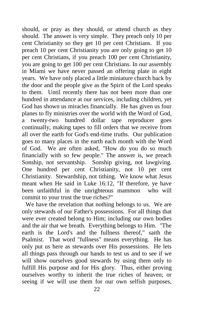should, or pray as they should, or attend church as they should. The answer is very simple. They preach only 10 per cent Christianity so they get 10 per cent Christians. If you preach 10 per cent Christianity you are only going to get 10 per cent Christians, if you preach 100 per cent Christianity, you are going to get 100 per cent Christians. In our assembly in Miami we have never passed an offering plate in eight years. We have only placed a little miniature church back by the door and the people give as the Spirit of the Lord speaks to them. Until recently there has not been more than one hundred in attendance at our services, including children, yet God has shown us miracles financially. He has given us four planes to fly ministries over the world with the Word of God, a twenty-two hundred dollar tape reproducer goes continually, making tapes to fill orders that we receive from all over the earth for God's end-time truths. Our publication goes to many places in the earth each month with the Word of God. We are often asked, "How do you do so much financially with so few people." The answer is, we preach Sonship, not servantship. Sonship giving, not lawgiving. One hundred per cent Christianity, not 10 per cent Christianity. Stewardship, not tithing. We know what Jesus meant when He said in Luke 16:12, "If therefore, ye have been unfaithful in the unrighteous mammon who will commit to your trust the true riches?"

We have the revelation that nothing belongs to us. We are only stewards of our Father's possessions. For all things that were ever created belong to Him; including our own bodies and the air that we breath. Everything belongs to Him. "The earth is the Lord's and the fullness thereof," saith the Psalmist. That word "fullness" means everything. He has only put us here as stewards over His possessions. He lets all things pass through our hands to test us and to see if we will show ourselves good stewards by using them only to fulfill His purpose and for His glory. Thus, either proving ourselves worthy to inherit the true riches of heaven; or seeing if we will use them for our own selfish purposes,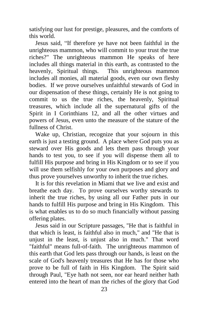satisfying our lust for prestige, pleasures, and the comforts of this world.

 Jesus said, "If therefore ye have not been faithful in the unrighteous mammon, who will commit to your trust the true riches?" The unrighteous mammon He speaks of here includes all things material in this earth, as contrasted to the heavenly, Spiritual things. This unrighteous mammon includes all monies, all material goods, even our own fleshy bodies. If we prove ourselves unfaithful stewards of God in our dispensation of these things, certainly He is not going to commit to us the true riches, the heavenly, Spiritual treasures, which include all the supernatural gifts of the Spirit in I Corinthians 12, and all the other virtues and powers of Jesus, even unto the measure of the stature of the fullness of Christ.

 Wake up, Christian, recognize that your sojourn in this earth is just a testing ground. A place where God puts you as steward over His goods and lets them pass through your hands to test you, to see if you will dispense them all to fulfill His purpose and bring in His Kingdom or to see if you will use them selfishly for your own purposes and glory and thus prove yourselves unworthy to inherit the true riches.

 It is for this revelation in Miami that we live and exist and breathe each day. To prove ourselves worthy stewards to inherit the true riches, by using all our Father puts in our hands to fulfill His purpose and bring in His Kingdom. This is what enables us to do so much financially without passing offering plates.

 Jesus said in our Scripture passages, "He that is faithful in that which is least, is faithful also in much," and "He that is unjust in the least, is unjust also in much." That word "faithful" means full-of-faith. The unrighteous mammon of this earth that God lets pass through our hands, is least on the scale of God's heavenly treasures that He has for those who prove to be full of faith in His Kingdom. The Spirit said through Paul, "Eye hath not seen, nor ear heard neither hath entered into the heart of man the riches of the glory that God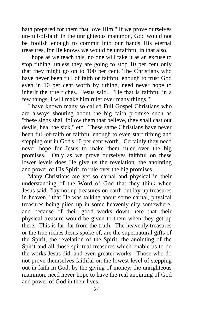hath prepared for them that love Him." If we prove ourselves un-full-of-faith in the unrighteous mammon, God would not be foolish enough to commit into our hands His eternal treasures, for He knows we would be unfaithful in that also.

 I hope as we teach this, no one will take it as an excuse to stop tithing, unless they are going to stop 10 per cent only that they might go on to 100 per cent. The Christians who have never been full of faith or faithful enough to trust God even in 10 per cent worth by tithing, need never hope to inherit the true riches. Jesus said. "He that is faithful in a few things, I will make him ruler over many things."

 I have known many so-called Full Gospel Christians who are always shouting about the big faith promise such as "these signs shall follow them that believe, they shall cast out devils, heal the sick," etc. These same Christians have never been full-of-faith or faithful enough to even start tithing and stepping out in God's 10 per cent worth. Certainly they need never hope for Jesus to make them ruler over the big promises. Only as we prove ourselves faithful on these lower levels does He give us the revelation, the anointing and power of His Spirit, to rule over the big promises.

 Many Christians are yet so carnal and physical in their understanding of the Word of God that they think when Jesus said, "lay not up treasures on earth but lay up treasures in heaven," that He was talking about some carnal, physical treasures being piled up in some heavenly city somewhere, and because of their good works down here that their physical treasure would be given to them when they get up there. This is far, far from the truth. The heavenly treasures or the true riches Jesus spoke of, are the supernatural gifts of the Spirit, the revelation of the Spirit, the anointing of the Spirit and all those spiritual treasures which enable us to do the works Jesus did, and even greater works. Those who do not prove themselves faithful on the lowest level of stepping out in faith in God, by the giving of money, the unrighteous mammon, need never hope to have the real anointing of God and power of God in their lives.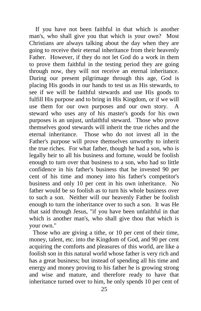If you have not been faithful in that which is another man's, who shall give you that which is your own? Most Christians are always talking about the day when they are going to receive their eternal inheritance from their heavenly Father. However, if they do not let God do a work in them to prove them faithful in the testing period they are going through now, they will not receive an eternal inheritance. During our present pilgrimage through this age, God is placing His goods in our hands to test us as His stewards, to see if we will be faithful stewards and use His goods to fulfill His purpose and to bring in His Kingdom, or if we will use them for our own purposes and our own story. steward who uses any of his master's goods for his own purposes is an unjust, unfaithful steward. Those who prove themselves good stewards will inherit the true riches and the eternal inheritance. Those who do not invest all in the Father's purpose will prove themselves unworthy to inherit the true riches. For what father, though he had a son, who is legally heir to all his business and fortune, would be foolish enough to turn over that business to a son, who had so little confidence in his father's business that he invested 90 per cent of his time and money into his father's competitor's business and only 10 per cent in his own inheritance. No father would be so foolish as to turn his whole business over to such a son. Neither will our heavenly Father be foolish enough to turn the inheritance over to such a son. It was He that said through Jesus, "if you have been unfaithful in that which is another man's, who shall give thou that which is your own."

Those who are giving a tithe, or 10 per cent of their time, money, talent, etc. into the Kingdom of God, and 90 per cent acquiring the comforts and pleasures of this world, are like a foolish son in this natural world whose father is very rich and has a great business; but instead of spending all his time and energy and money proving to his father he is growing strong and wise and mature, and therefore ready to have that inheritance turned over to him, he only spends 10 per cent of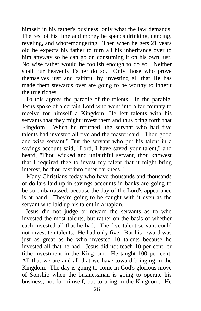himself in his father's business, only what the law demands. The rest of his time and money he spends drinking, dancing, reveling, and whoremongering. Then when he gets 21 years old he expects his father to turn all his inheritance over to him anyway so he can go on consuming it on his own lust. No wise father would be foolish enough to do so. Neither shall our heavenly Father do so. Only those who prove themselves just and faithful by investing all that He has made them stewards over are going to be worthy to inherit the true riches.

To this agrees the parable of the talents. In the parable, Jesus spoke of a certain Lord who went into a far country to receive for himself a Kingdom. He left talents with his servants that they might invest them and thus bring forth that Kingdom. When he returned, the servant who had five talents had invested all five and the master said, "Thou good and wise servant." But the servant who put his talent in a savings account said, "Lord, I have saved your talent," and heard, "Thou wicked and unfaithful servant, thou knowest that I required thee to invest my talent that it might bring interest, be thou cast into outer darkness."

 Many Christians today who have thousands and thousands of dollars laid up in savings accounts in banks are going to be so embarrassed, because the day of the Lord's appearance is at hand. They're going to be caught with it even as the servant who laid up his talent in a napkin.

Jesus did not judge or reward the servants as to who invested the most talents, but rather on the basis of whether each invested all that he had. The five talent servant could not invest ten talents. He had only five. But his reward was just as great as he who invested 10 talents because he invested all that he had. Jesus did not teach 10 per cent, or tithe investment in the Kingdom. He taught 100 per cent. All that we are and all that we have toward bringing in the Kingdom. The day is going to come in God's glorious move of Sonship when the businessman is going to operate his business, not for himself, but to bring in the Kingdom. He